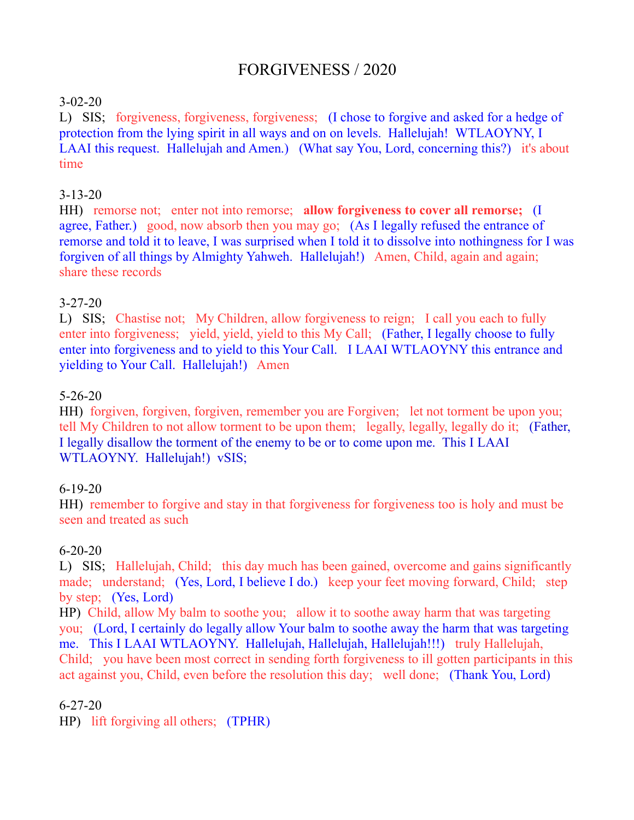# FORGIVENESS / 2020

# 3-02-20

L) SIS; forgiveness, forgiveness, forgiveness; (I chose to forgive and asked for a hedge of protection from the lying spirit in all ways and on on levels. Hallelujah! WTLAOYNY, I LAAI this request. Hallelujah and Amen.) (What say You, Lord, concerning this?) it's about time

# 3-13-20

HH) remorse not; enter not into remorse; **allow forgiveness to cover all remorse;** (I agree, Father.) good, now absorb then you may go; (As I legally refused the entrance of remorse and told it to leave, I was surprised when I told it to dissolve into nothingness for I was forgiven of all things by Almighty Yahweh. Hallelujah!) Amen, Child, again and again; share these records

# 3-27-20

L) SIS; Chastise not; My Children, allow forgiveness to reign; I call you each to fully enter into forgiveness; yield, yield, yield to this My Call; (Father, I legally choose to fully enter into forgiveness and to yield to this Your Call. I LAAI WTLAOYNY this entrance and yielding to Your Call. Hallelujah!) Amen

### 5-26-20

HH) forgiven, forgiven, forgiven, remember you are Forgiven; let not torment be upon you; tell My Children to not allow torment to be upon them; legally, legally, legally do it; (Father, I legally disallow the torment of the enemy to be or to come upon me. This I LAAI WTLAOYNY. Hallelujah!) vSIS;

# 6-19-20

HH) remember to forgive and stay in that forgiveness for forgiveness too is holy and must be seen and treated as such

# 6-20-20

L) SIS; Hallelujah, Child; this day much has been gained, overcome and gains significantly made; understand; (Yes, Lord, I believe I do.) keep your feet moving forward, Child; step by step; (Yes, Lord)

HP) Child, allow My balm to soothe you; allow it to soothe away harm that was targeting you; (Lord, I certainly do legally allow Your balm to soothe away the harm that was targeting me. This I LAAI WTLAOYNY. Hallelujah, Hallelujah, Hallelujah!!!) truly Hallelujah, Child; you have been most correct in sending forth forgiveness to ill gotten participants in this act against you, Child, even before the resolution this day; well done; (Thank You, Lord)

#### 6-27-20

HP) lift forgiving all others; (TPHR)